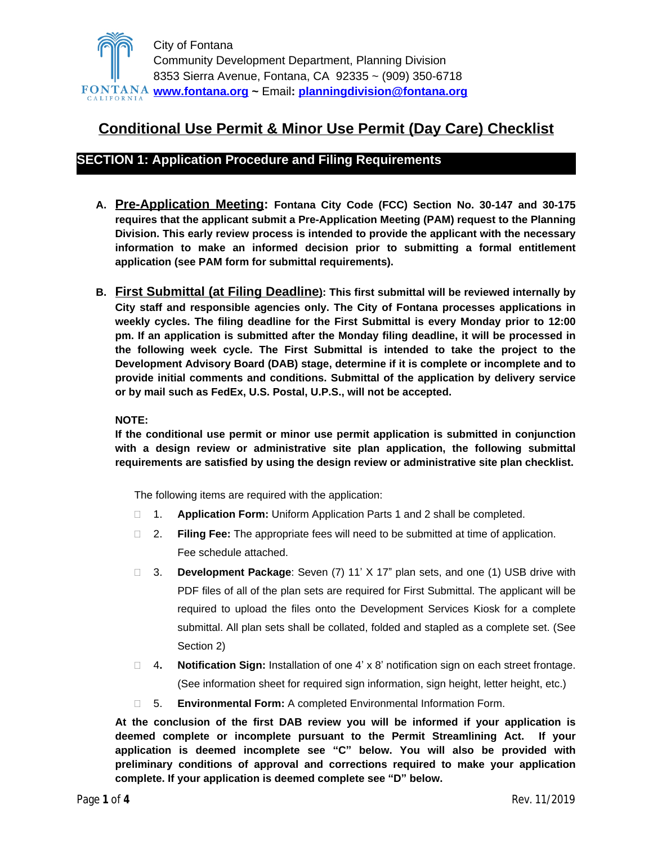

# **Conditional Use Permit & Minor Use Permit (Day Care) Checklist**

## **SECTION 1: Application Procedure and Filing Requirements**

- **A. Pre-Application Meeting: Fontana City Code (FCC) Section No. 30-147 and 30-175 requires that the applicant submit a Pre-Application Meeting (PAM) request to the Planning Division. This early review process is intended to provide the applicant with the necessary information to make an informed decision prior to submitting a formal entitlement application (see PAM form for submittal requirements).**
- **B. First Submittal (at Filing Deadline): This first submittal will be reviewed internally by City staff and responsible agencies only. The City of Fontana processes applications in weekly cycles. The filing deadline for the First Submittal is every Monday prior to 12:00 pm. If an application is submitted after the Monday filing deadline, it will be processed in the following week cycle. The First Submittal is intended to take the project to the Development Advisory Board (DAB) stage, determine if it is complete or incomplete and to provide initial comments and conditions. Submittal of the application by delivery service or by mail such as FedEx, U.S. Postal, U.P.S., will not be accepted.**

### **NOTE:**

**If the conditional use permit or minor use permit application is submitted in conjunction with a design review or administrative site plan application, the following submittal requirements are satisfied by using the design review or administrative site plan checklist.**

The following items are required with the application:

- 1. **Application Form:** Uniform Application Parts 1 and 2 shall be completed.
- 2. **Filing Fee:** The appropriate fees will need to be submitted at time of application. Fee schedule attached.
- □ 3. **Development Package**: Seven (7) 11' X 17" plan sets, and one (1) USB drive with PDF files of all of the plan sets are required for First Submittal. The applicant will be required to upload the files onto the Development Services Kiosk for a complete submittal. All plan sets shall be collated, folded and stapled as a complete set. (See Section 2)
- 4**. Notification Sign:** Installation of one 4' x 8' notification sign on each street frontage. (See information sheet for required sign information, sign height, letter height, etc.)
- 5. **Environmental Form:** A completed Environmental Information Form.

**At the conclusion of the first DAB review you will be informed if your application is deemed complete or incomplete pursuant to the Permit Streamlining Act. If your application is deemed incomplete see "C" below. You will also be provided with preliminary conditions of approval and corrections required to make your application complete. If your application is deemed complete see "D" below.**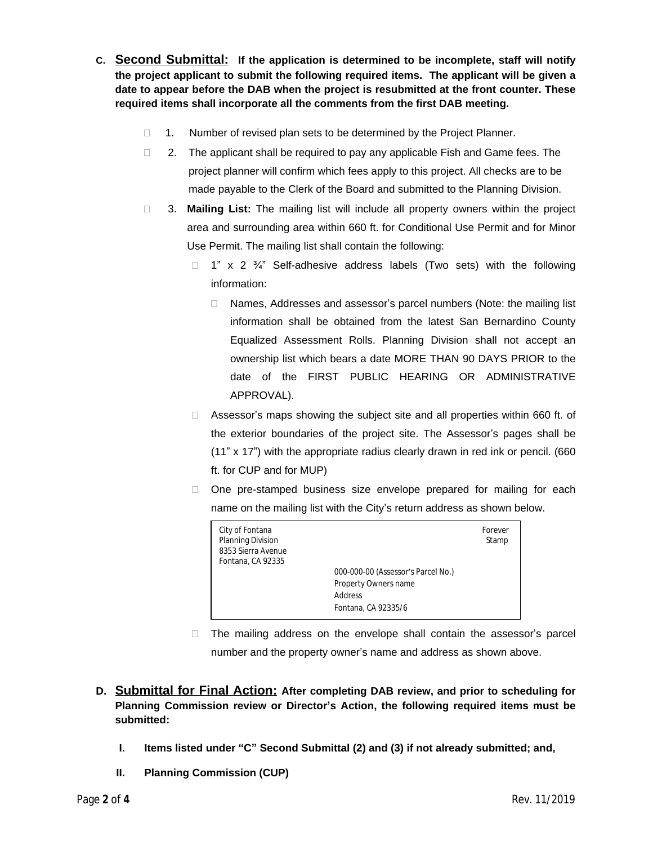- **C. Second Submittal: If the application is determined to be incomplete, staff will notify the project applicant to submit the following required items. The applicant will be given a date to appear before the DAB when the project is resubmitted at the front counter. These required items shall incorporate all the comments from the first DAB meeting.**
	- $\Box$  1. Number of revised plan sets to be determined by the Project Planner.
	- $\Box$  2. The applicant shall be required to pay any applicable Fish and Game fees. The project planner will confirm which fees apply to this project. All checks are to be made payable to the Clerk of the Board and submitted to the Planning Division.
	- 3. **Mailing List:** The mailing list will include all property owners within the project area and surrounding area within 660 ft. for Conditional Use Permit and for Minor Use Permit. The mailing list shall contain the following:
		- $\Box$  1" x 2  $\frac{3}{4}$ " Self-adhesive address labels (Two sets) with the following information:
			- □ Names, Addresses and assessor's parcel numbers (Note: the mailing list information shall be obtained from the latest San Bernardino County Equalized Assessment Rolls. Planning Division shall not accept an ownership list which bears a date MORE THAN 90 DAYS PRIOR to the date of the FIRST PUBLIC HEARING OR ADMINISTRATIVE APPROVAL).
		- □ Assessor's maps showing the subject site and all properties within 660 ft. of the exterior boundaries of the project site. The Assessor's pages shall be (11" x 17") with the appropriate radius clearly drawn in red ink or pencil. (660 ft. for CUP and for MUP)
		- $\Box$  One pre-stamped business size envelope prepared for mailing for each name on the mailing list with the City's return address as shown below.

- The mailing address on the envelope shall contain the assessor's parcel number and the property owner's name and address as shown above.
- **D. Submittal for Final Action: After completing DAB review, and prior to scheduling for Planning Commission review or Director's Action, the following required items must be submitted:**
	- **I. Items listed under "C" Second Submittal (2) and (3) if not already submitted; and,**
	- **II. Planning Commission (CUP)**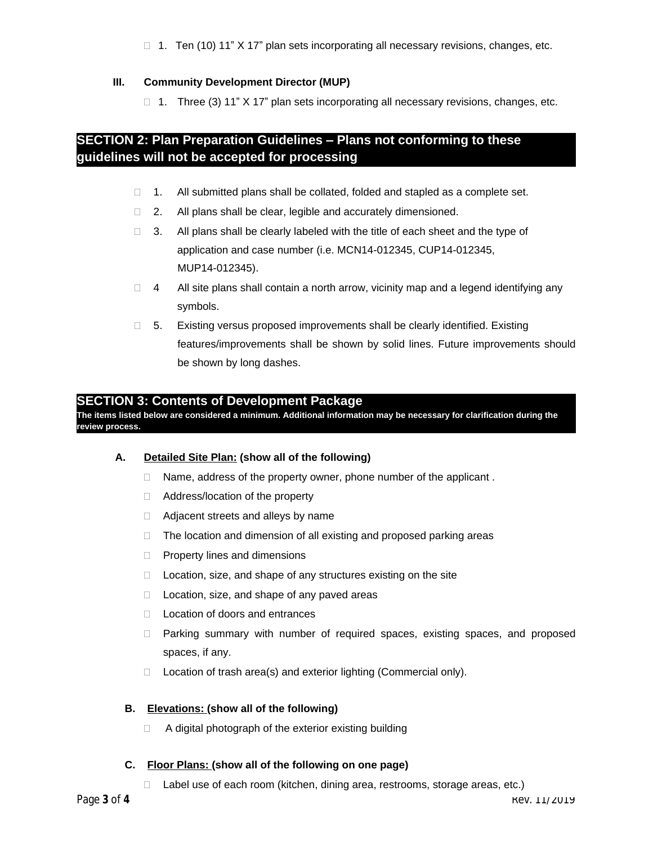$\Box$  1. Ten (10) 11" X 17" plan sets incorporating all necessary revisions, changes, etc.

### **III. Community Development Director (MUP)**

1. Three (3) 11"  $X$  17" plan sets incorporating all necessary revisions, changes, etc.

## **SECTION 2: Plan Preparation Guidelines – Plans not conforming to these guidelines will not be accepted for processing**

- 1. All submitted plans shall be collated, folded and stapled as a complete set.
- □ 2. All plans shall be clear, legible and accurately dimensioned.
- $\Box$  3. All plans shall be clearly labeled with the title of each sheet and the type of application and case number (i.e. MCN14-012345, CUP14-012345, MUP14-012345).
- $\Box$  4 All site plans shall contain a north arrow, vicinity map and a legend identifying any symbols.
- $\Box$  5. Existing versus proposed improvements shall be clearly identified. Existing features/improvements shall be shown by solid lines. Future improvements should be shown by long dashes.

### **SECTION 3: Contents of Development Package**

**The items listed below are considered a minimum. Additional information may be necessary for clarification during the review process.**

### **A. Detailed Site Plan: (show all of the following)**

- $\Box$  Name, address of the property owner, phone number of the applicant.
- □ Address/location of the property
- □ Adjacent streets and alleys by name
- $\Box$  The location and dimension of all existing and proposed parking areas
- $\Box$  Property lines and dimensions
- □ Location, size, and shape of any structures existing on the site
- $\Box$  Location, size, and shape of any paved areas
- □ Location of doors and entrances
- Parking summary with number of required spaces, existing spaces, and proposed spaces, if any.
- $\Box$  Location of trash area(s) and exterior lighting (Commercial only).

#### **B. Elevations: (show all of the following)**

 $\Box$  A digital photograph of the exterior existing building

#### **C. Floor Plans: (show all of the following on one page)**

□ Label use of each room (kitchen, dining area, restrooms, storage areas, etc.)